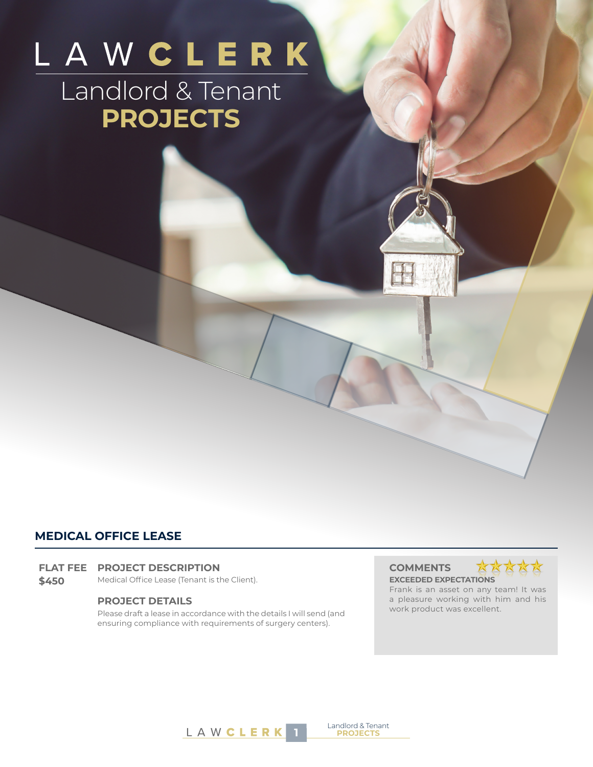# LAWCLERK Landlord & Tenant **PROJECTS**

# **MEDICAL OFFICE LEASE**

#### **FLAT FEE PROJECT DESCRIPTION COMMENTS**

**\$450** Medical Office Lease (Tenant is the Client). **EXCEEDED EXPECTATIONS**

## **PROJECT DETAILS**

Please draft a lease in accordance with the details I will send (and ensuring compliance with requirements of surgery centers).



Frank is an asset on any team! It was a pleasure working with him and his work product was excellent.



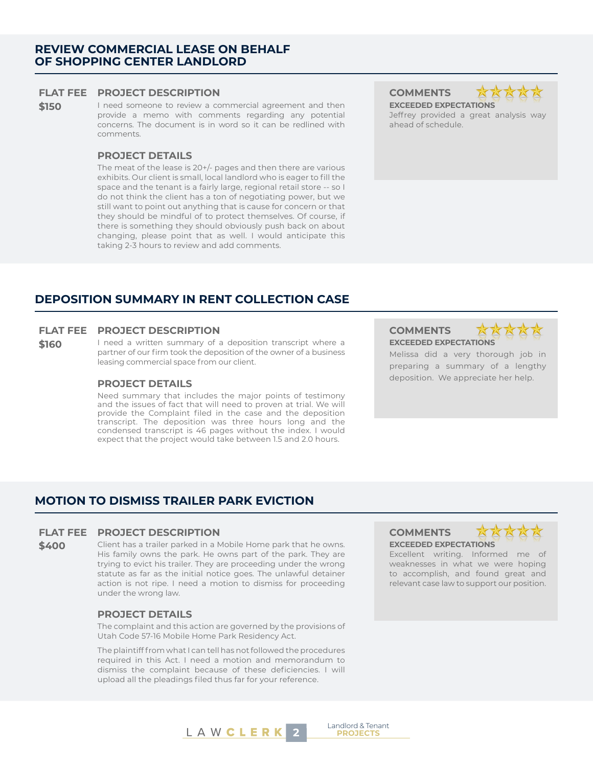#### **FLAT FEE PROJECT DESCRIPTION COMMENTS**

**\$150** I need someone to review a commercial agreement and then provide a memo with comments regarding any potential concerns. The document is in word so it can be redlined with comments.

#### **PROJECT DETAILS**

The meat of the lease is 20+/- pages and then there are various exhibits. Our client is small, local landlord who is eager to fill the space and the tenant is a fairly large, regional retail store -- so I do not think the client has a ton of negotiating power, but we still want to point out anything that is cause for concern or that they should be mindful of to protect themselves. Of course, if there is something they should obviously push back on about changing, please point that as well. I would anticipate this taking 2-3 hours to review and add comments.

**EXCEEDED EXPECTATIONS** Jeffrey provided a great analysis way ahead of schedule.

# **DEPOSITION SUMMARY IN RENT COLLECTION CASE**

## **FLAT FEE PROJECT DESCRIPTION COMMENTS**

**\$160** I need a written summary of a deposition transcript where a partner of our firm took the deposition of the owner of a business leasing commercial space from our client.

Need summary that includes the major points of testimony and the issues of fact that will need to proven at trial. We will provide the Complaint filed in the case and the deposition transcript. The deposition was three hours long and the condensed transcript is 46 pages without the index. I would expect that the project would take between 1.5 and 2.0 hours.

**EXCEEDED EXPECTATIONS**



Melissa did a very thorough job in preparing a summary of a lengthy deposition. We appreciate her help. **PROJECT DETAILS**

# **MOTION TO DISMISS TRAILER PARK EVICTION**

### **FLAT FEE PROJECT DESCRIPTION COMMENTS**

**\$400** Client has a trailer parked in a Mobile Home park that he owns. His family owns the park. He owns part of the park. They are trying to evict his trailer. They are proceeding under the wrong statute as far as the initial notice goes. The unlawful detainer action is not ripe. I need a motion to dismiss for proceeding under the wrong law.

### **PROJECT DETAILS**

The complaint and this action are governed by the provisions of Utah Code 57-16 Mobile Home Park Residency Act.

The plaintiff from what I can tell has not followed the procedures required in this Act. I need a motion and memorandum to dismiss the complaint because of these deficiencies. I will upload all the pleadings filed thus far for your reference.

# **EXCEEDED EXPECTATIONS**



Excellent writing. Informed me of weaknesses in what we were hoping to accomplish, and found great and relevant case law to support our position.



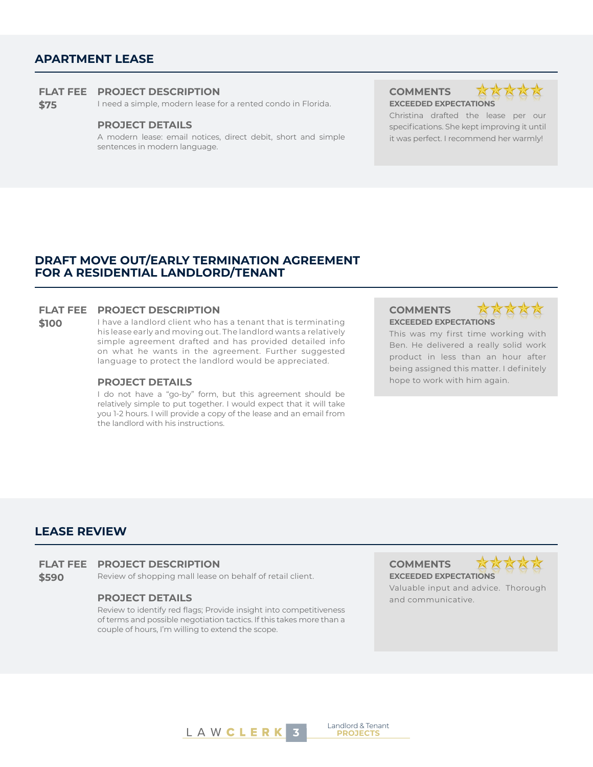# **APARTMENT LEASE**

#### **FLAT FEE PROJECT DESCRIPTION COMMENTS**

**\$75** I need a simple, modern lease for a rented condo in Florida. **EXCEEDED EXPECTATIONS**

#### **PROJECT DETAILS**

A modern lease: email notices, direct debit, short and simple sentences in modern language.



Christina drafted the lease per our specifications. She kept improving it until it was perfect. I recommend her warmly!

# **DRAFT MOVE OUT/EARLY TERMINATION AGREEMENT FOR A RESIDENTIAL LANDLORD/TENANT**

## **FLAT FEE PROJECT DESCRIPTION COMMENTS**

**\$100** I have a landlord client who has a tenant that is terminating his lease early and moving out. The landlord wants a relatively simple agreement drafted and has provided detailed info on what he wants in the agreement. Further suggested language to protect the landlord would be appreciated.

I do not have a "go-by" form, but this agreement should be relatively simple to put together. I would expect that it will take you 1-2 hours. I will provide a copy of the lease and an email from the landlord with his instructions.

# **EXCEEDED EXPECTATIONS**



This was my first time working with Ben. He delivered a really solid work product in less than an hour after being assigned this matter. I definitely **PROJECT DETAILS** hope to work with him again.

# **LEASE REVIEW**

- **FLAT FEE PROJECT DESCRIPTION COMMENTS**
- **\$590** Review of shopping mall lease on behalf of retail client. **EXCEEDED EXPECTATIONS**

Review to identify red flags; Provide insight into competitiveness of terms and possible negotiation tactics. If this takes more than a couple of hours, I'm willing to extend the scope.



Valuable input and advice. Thorough **PROJECT DETAILS and communicative.** 



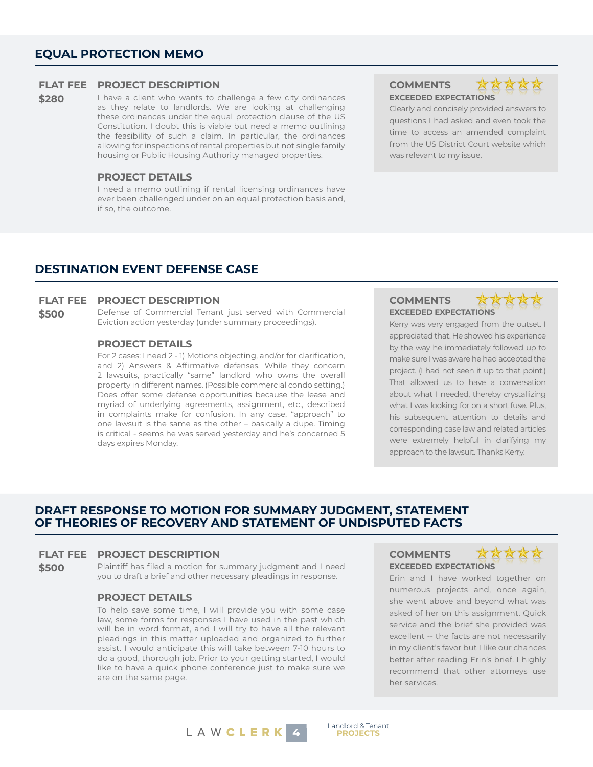# **EQUAL PROTECTION MEMO**

### **FLAT FEE PROJECT DESCRIPTION COMMENTS**

**\$280** I have a client who wants to challenge a few city ordinances as they relate to landlords. We are looking at challenging these ordinances under the equal protection clause of the US Constitution. I doubt this is viable but need a memo outlining the feasibility of such a claim. In particular, the ordinances allowing for inspections of rental properties but not single family housing or Public Housing Authority managed properties.

#### **PROJECT DETAILS**

I need a memo outlining if rental licensing ordinances have ever been challenged under on an equal protection basis and, if so, the outcome.

**EXCEEDED EXPECTATIONS**



Clearly and concisely provided answers to questions I had asked and even took the time to access an amended complaint from the US District Court website which was relevant to my issue.

# **DESTINATION EVENT DEFENSE CASE**

## **FLAT FEE PROJECT DESCRIPTION COMMENTS**

**\$500** Defense of Commercial Tenant just served with Commercial Eviction action yesterday (under summary proceedings).

#### **PROJECT DETAILS**

For 2 cases: I need 2 - 1) Motions objecting, and/or for clarification, and 2) Answers & Affirmative defenses. While they concern 2 lawsuits, practically "same" landlord who owns the overall property in different names. (Possible commercial condo setting.) Does offer some defense opportunities because the lease and myriad of underlying agreements, assignment, etc., described in complaints make for confusion. In any case, "approach" to one lawsuit is the same as the other – basically a dupe. Timing is critical - seems he was served yesterday and he's concerned 5 days expires Monday.

# **EXCEEDED EXPECTATIONS**



Kerry was very engaged from the outset. I appreciated that. He showed his experience by the way he immediately followed up to make sure I was aware he had accepted the project. (I had not seen it up to that point.) That allowed us to have a conversation about what I needed, thereby crystallizing what I was looking for on a short fuse. Plus, his subsequent attention to details and corresponding case law and related articles were extremely helpful in clarifying my approach to the lawsuit. Thanks Kerry.

# **DRAFT RESPONSE TO MOTION FOR SUMMARY JUDGMENT, STATEMENT OF THEORIES OF RECOVERY AND STATEMENT OF UNDISPUTED FACTS**

## **FLAT FEE PROJECT DESCRIPTION COMMENTS**

**\$500** Plaintiff has filed a motion for summary judgment and I need you to draft a brief and other necessary pleadings in response.

## **PROJECT DETAILS**

To help save some time, I will provide you with some case law, some forms for responses I have used in the past which will be in word format, and I will try to have all the relevant pleadings in this matter uploaded and organized to further assist. I would anticipate this will take between 7-10 hours to do a good, thorough job. Prior to your getting started, I would like to have a quick phone conference just to make sure we are on the same page.

# **EXCEEDED EXPECTATIONS**

Landlord & Tenant



Erin and I have worked together on numerous projects and, once again, she went above and beyond what was asked of her on this assignment. Quick service and the brief she provided was excellent -- the facts are not necessarily in my client's favor but I like our chances better after reading Erin's brief. I highly recommend that other attorneys use her services.

L A W **C L E R K** 4 **PROJECTS**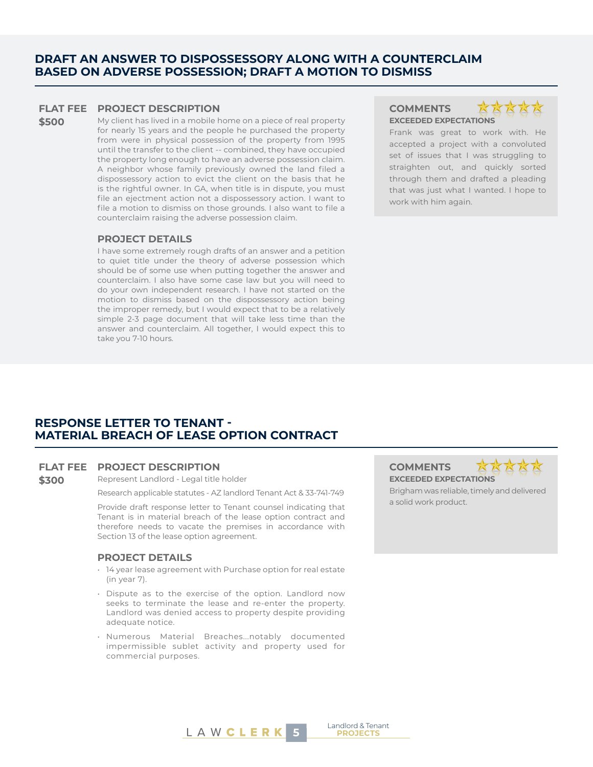# **DRAFT AN ANSWER TO DISPOSSESSORY ALONG WITH A COUNTERCLAIM BASED ON ADVERSE POSSESSION; DRAFT A MOTION TO DISMISS**

#### **FLAT FEE PROJECT DESCRIPTION COMMENTS**

**\$500** My client has lived in a mobile home on a piece of real property for nearly 15 years and the people he purchased the property from were in physical possession of the property from 1995 until the transfer to the client -- combined, they have occupied the property long enough to have an adverse possession claim. A neighbor whose family previously owned the land filed a dispossessory action to evict the client on the basis that he is the rightful owner. In GA, when title is in dispute, you must file an ejectment action not a dispossessory action. I want to file a motion to dismiss on those grounds. I also want to file a counterclaim raising the adverse possession claim.

#### **PROJECT DETAILS**

I have some extremely rough drafts of an answer and a petition to quiet title under the theory of adverse possession which should be of some use when putting together the answer and counterclaim. I also have some case law but you will need to do your own independent research. I have not started on the motion to dismiss based on the dispossessory action being the improper remedy, but I would expect that to be a relatively simple 2-3 page document that will take less time than the answer and counterclaim. All together, I would expect this to take you 7-10 hours.

# **EXCEEDED EXPECTATIONS**



Frank was great to work with. He accepted a project with a convoluted set of issues that I was struggling to straighten out, and quickly sorted through them and drafted a pleading that was just what I wanted. I hope to work with him again.

# **RESPONSE LETTER TO TENANT - MATERIAL BREACH OF LEASE OPTION CONTRACT**

#### **FLAT FEE PROJECT DESCRIPTION COMMENTS**

**\$300** Represent Landlord - Legal title holder

Research applicable statutes - AZ landlord Tenant Act & 33-741-749

Provide draft response letter to Tenant counsel indicating that Tenant is in material breach of the lease option contract and therefore needs to vacate the premises in accordance with Section 13 of the lease option agreement.

#### **PROJECT DETAILS**

- 14 year lease agreement with Purchase option for real estate (in year 7).
- Dispute as to the exercise of the option. Landlord now seeks to terminate the lease and re-enter the property. Landlord was denied access to property despite providing adequate notice.
- Numerous Material Breaches...notably documented impermissible sublet activity and property used for commercial purposes.

**EXCEEDED EXPECTATIONS**



Brigham was reliable, timely and delivered a solid work product.

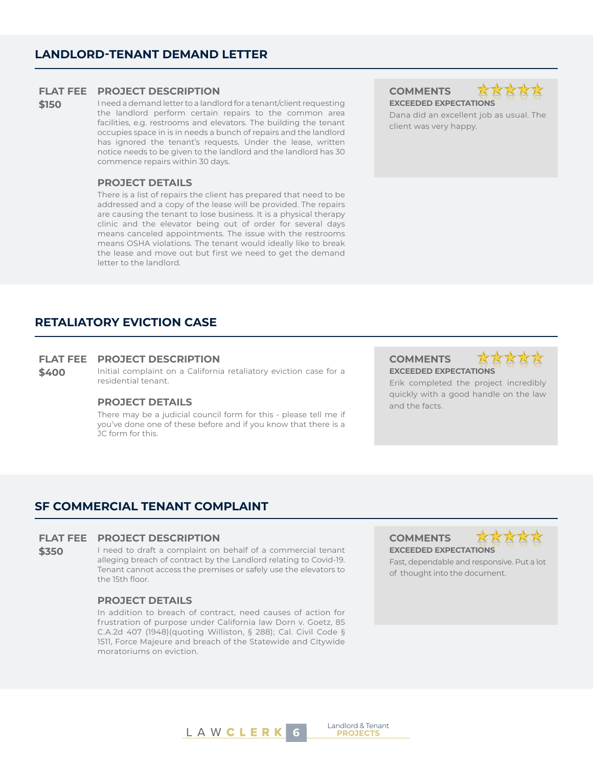# **FLAT FEE PROJECT DESCRIPTION COMMENTS**

**\$150** I need a demand letter to a landlord for a tenant/client requesting the landlord perform certain repairs to the common area facilities, e.g. restrooms and elevators. The building the tenant occupies space in is in needs a bunch of repairs and the landlord has ignored the tenant's requests. Under the lease, written notice needs to be given to the landlord and the landlord has 30 commence repairs within 30 days.

### **PROJECT DETAILS**

There is a list of repairs the client has prepared that need to be addressed and a copy of the lease will be provided. The repairs are causing the tenant to lose business. It is a physical therapy clinic and the elevator being out of order for several days means canceled appointments. The issue with the restrooms means OSHA violations. The tenant would ideally like to break the lease and move out but first we need to get the demand letter to the landlord.

**EXCEEDED EXPECTATIONS**



Dana did an excellent job as usual. The client was very happy.

# **RETALIATORY EVICTION CASE**

### **FLAT FEE PROJECT DESCRIPTION COMMENTS**

**\$400** Initial complaint on a California retaliatory eviction case for a residential tenant.

# **PROJECT DETAILS** and the facts.

There may be a judicial council form for this - please tell me if you've done one of these before and if you know that there is a JC form for this.

**EXCEEDED EXPECTATIONS**



Erik completed the project incredibly quickly with a good handle on the law

# **SF COMMERCIAL TENANT COMPLAINT**

## **FLAT FEE PROJECT DESCRIPTION COMMENTS**

**\$350** I need to draft a complaint on behalf of a commercial tenant alleging breach of contract by the Landlord relating to Covid-19. Tenant cannot access the premises or safely use the elevators to the 15th floor.

#### **PROJECT DETAILS**

In addition to breach of contract, need causes of action for frustration of purpose under California law Dorn v. Goetz, 85 C.A.2d 407 (1948)(quoting Williston, § 288); Cal. Civil Code § 1511, Force Majeure and breach of the Statewide and Citywide moratoriums on eviction.

**EXCEEDED EXPECTATIONS**



Fast, dependable and responsive. Put a lot of thought into the document.



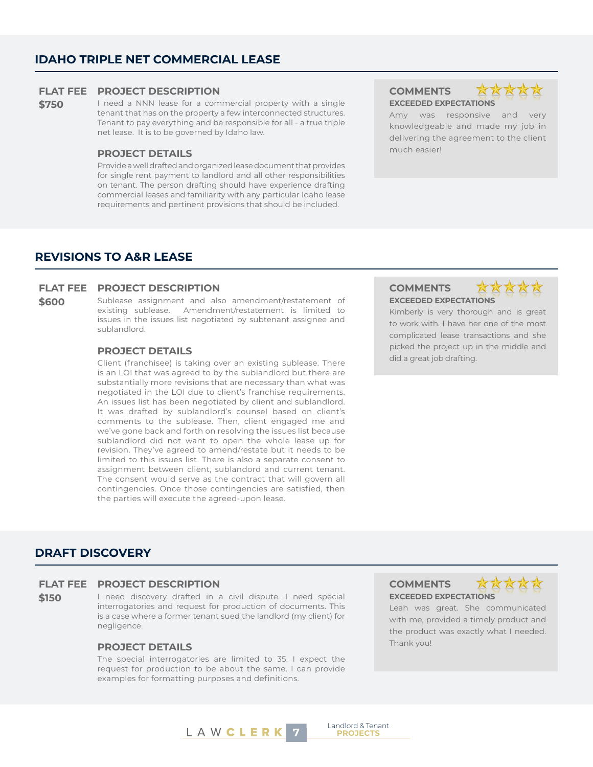# **IDAHO TRIPLE NET COMMERCIAL LEASE**

# **FLAT FEE PROJECT DESCRIPTION COMMENTS**

**\$750** I need a NNN lease for a commercial property with a single tenant that has on the property a few interconnected structures. Tenant to pay everything and be responsible for all - a true triple net lease. It is to be governed by Idaho law.

# **PROJECT DETAILS PROJECT DETAILS**

Provide a well drafted and organized lease document that provides for single rent payment to landlord and all other responsibilities on tenant. The person drafting should have experience drafting commercial leases and familiarity with any particular Idaho lease requirements and pertinent provisions that should be included.

**EXCEEDED EXPECTATIONS**



Amy was responsive and very knowledgeable and made my job in delivering the agreement to the client

# **REVISIONS TO A&R LEASE**

#### **FLAT FEE PROJECT DESCRIPTION COMMENTS**

**\$600** Sublease assignment and also amendment/restatement of existing sublease. Amendment/restatement is limited to issues in the issues list negotiated by subtenant assignee and sublandlord.

## **PROJECT DETAILS**

Client (franchisee) is taking over an existing sublease. There is an LOI that was agreed to by the sublandlord but there are substantially more revisions that are necessary than what was negotiated in the LOI due to client's franchise requirements. An issues list has been negotiated by client and sublandlord. It was drafted by sublandlord's counsel based on client's comments to the sublease. Then, client engaged me and we've gone back and forth on resolving the issues list because sublandlord did not want to open the whole lease up for revision. They've agreed to amend/restate but it needs to be limited to this issues list. There is also a separate consent to assignment between client, sublandord and current tenant. The consent would serve as the contract that will govern all contingencies. Once those contingencies are satisfied, then the parties will execute the agreed-upon lease.

# **EXCEEDED EXPECTATIONS**



Kimberly is very thorough and is great to work with. I have her one of the most complicated lease transactions and she picked the project up in the middle and did a great job drafting.

# **DRAFT DISCOVERY**

# **FLAT FEE PROJECT DESCRIPTION COMMENTS**

**\$150** I need discovery drafted in a civil dispute. I need special interrogatories and request for production of documents. This is a case where a former tenant sued the landlord (my client) for negligence.

# **PROJECT DETAILS** Thank you!

The special interrogatories are limited to 35. I expect the request for production to be about the same. I can provide examples for formatting purposes and definitions.

**EXCEEDED EXPECTATIONS**



Leah was great. She communicated with me, provided a timely product and the product was exactly what I needed.



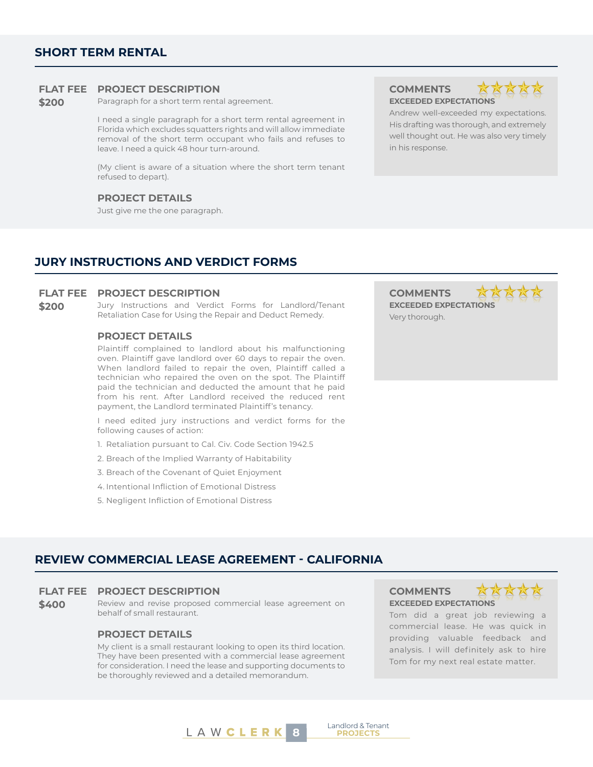# **SHORT TERM RENTAL**

### **FLAT FEE PROJECT DESCRIPTION COMMENTS**

**\$200** Paragraph for a short term rental agreement.

I need a single paragraph for a short term rental agreement in Florida which excludes squatters rights and will allow immediate removal of the short term occupant who fails and refuses to leave. I need a quick 48 hour turn-around.

(My client is aware of a situation where the short term tenant refused to depart).

## **PROJECT DETAILS**

Just give me the one paragraph.

**EXCEEDED EXPECTATIONS**



Andrew well-exceeded my expectations. His drafting was thorough, and extremely well thought out. He was also very timely in his response.

# **JURY INSTRUCTIONS AND VERDICT FORMS**

#### **FLAT FEE PROJECT DESCRIPTION COMMENTS**

**\$200** Jury Instructions and Verdict Forms for Landlord/Tenant Retaliation Case for Using the Repair and Deduct Remedy.

# **PROJECT DETAILS**

Plaintiff complained to landlord about his malfunctioning oven. Plaintiff gave landlord over 60 days to repair the oven. When landlord failed to repair the oven, Plaintiff called a technician who repaired the oven on the spot. The Plaintiff paid the technician and deducted the amount that he paid from his rent. After Landlord received the reduced rent payment, the Landlord terminated Plaintiff's tenancy.

I need edited jury instructions and verdict forms for the following causes of action:

- 1. Retaliation pursuant to Cal. Civ. Code Section 1942.5
- 2. Breach of the Implied Warranty of Habitability
- 3. Breach of the Covenant of Quiet Enjoyment
- 4. Intentional Infliction of Emotional Distress
- 5. Negligent Infliction of Emotional Distress

**EXCEEDED EXPECTATIONS** Very thorough.

# **REVIEW COMMERCIAL LEASE AGREEMENT - CALIFORNIA**

#### **FLAT FEE PROJECT DESCRIPTION COMMENTS**

**\$400** Review and revise proposed commercial lease agreement on behalf of small restaurant.

## **PROJECT DETAILS**

My client is a small restaurant looking to open its third location. They have been presented with a commercial lease agreement for consideration. I need the lease and supporting documents to be thoroughly reviewed and a detailed memorandum.

**EXCEEDED EXPECTATIONS**



Tom did a great job reviewing a commercial lease. He was quick in providing valuable feedback and analysis. I will definitely ask to hire Tom for my next real estate matter.



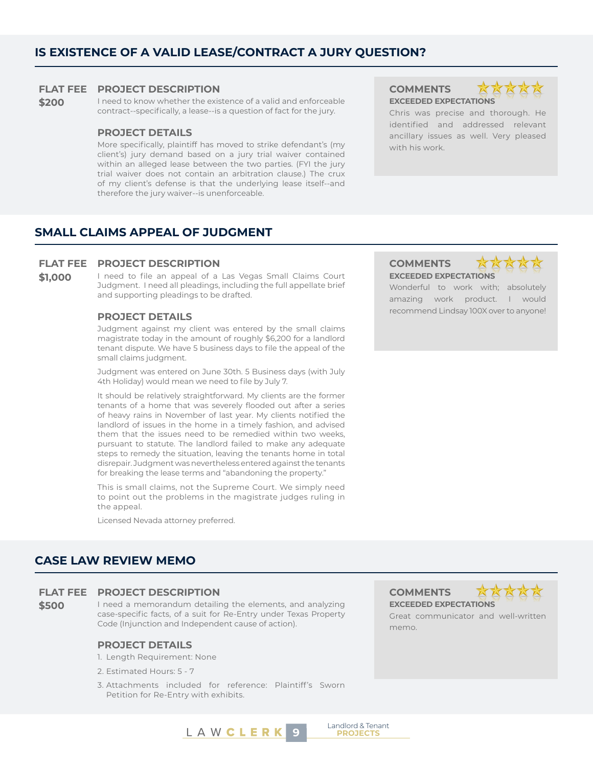# **IS EXISTENCE OF A VALID LEASE/CONTRACT A JURY QUESTION?**

### **FLAT FEE PROJECT DESCRIPTION COMMENTS**

**\$200** I need to know whether the existence of a valid and enforceable contract--specifically, a lease--is a question of fact for the jury.

#### **PROJECT DETAILS**

More specifically, plaintiff has moved to strike defendant's (my client's) jury demand based on a jury trial waiver contained within an alleged lease between the two parties. (FYI the jury trial waiver does not contain an arbitration clause.) The crux of my client's defense is that the underlying lease itself--and therefore the jury waiver--is unenforceable.

**EXCEEDED EXPECTATIONS**



Chris was precise and thorough. He identified and addressed relevant ancillary issues as well. Very pleased with his work.

# **SMALL CLAIMS APPEAL OF JUDGMENT**

### **FLAT FEE PROJECT DESCRIPTION COMMENTS**

\$1,000 I need to file an appeal of a Las Vegas Small Claims Court Judgment. I need all pleadings, including the full appellate brief and supporting pleadings to be drafted.

Judgment against my client was entered by the small claims magistrate today in the amount of roughly \$6,200 for a landlord tenant dispute. We have 5 business days to file the appeal of the small claims judgment.

Judgment was entered on June 30th. 5 Business days (with July 4th Holiday) would mean we need to file by July 7.

It should be relatively straightforward. My clients are the former tenants of a home that was severely flooded out after a series of heavy rains in November of last year. My clients notified the landlord of issues in the home in a timely fashion, and advised them that the issues need to be remedied within two weeks, pursuant to statute. The landlord failed to make any adequate steps to remedy the situation, leaving the tenants home in total disrepair. Judgment was nevertheless entered against the tenants for breaking the lease terms and "abandoning the property."

This is small claims, not the Supreme Court. We simply need to point out the problems in the magistrate judges ruling in the appeal.

Licensed Nevada attorney preferred.

# **CASE LAW REVIEW MEMO**

### **FLAT FEE PROJECT DESCRIPTION COMMENTS**

**\$500** I need a memorandum detailing the elements, and analyzing case-specific facts, of a suit for Re-Entry under Texas Property Code (Injunction and Independent cause of action).

## **PROJECT DETAILS**

- 1. Length Requirement: None
- 2. Estimated Hours: 5 7
- 3. Attachments included for reference: Plaintiff's Sworn Petition for Re-Entry with exhibits.

**LAWCLERK** 9 **PROJECTS** 

**EXCEEDED EXPECTATIONS**

Landlord & Tenant



Great communicator and well-written memo.

# **EXCEEDED EXPECTATIONS**



Wonderful to work with; absolutely amazing work product. I would recommend Lindsay 100X over to anyone! **PROJECT DETAILS**